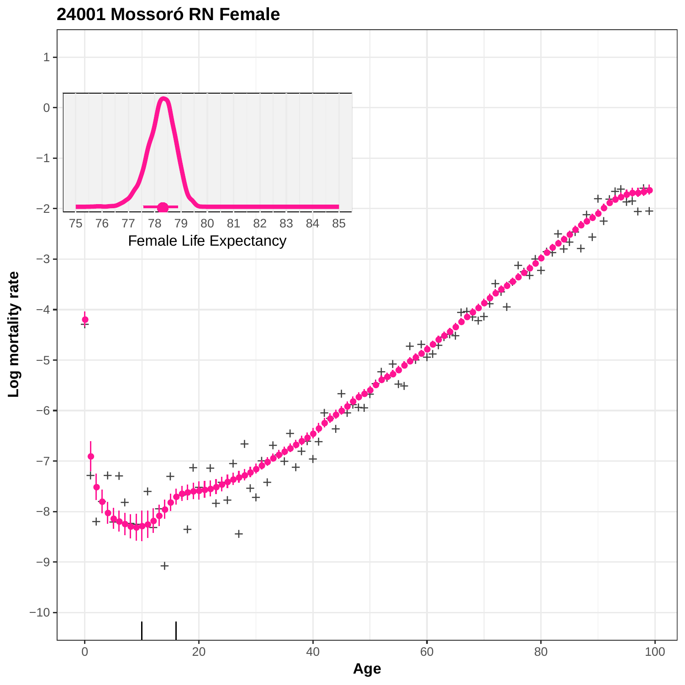

**24001 Mossoró RN Female**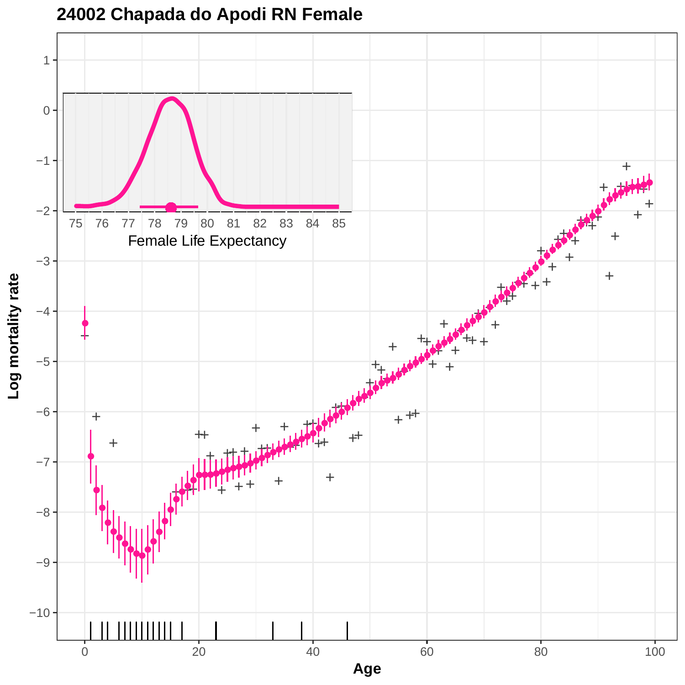

## **24002 Chapada do Apodi RN Female**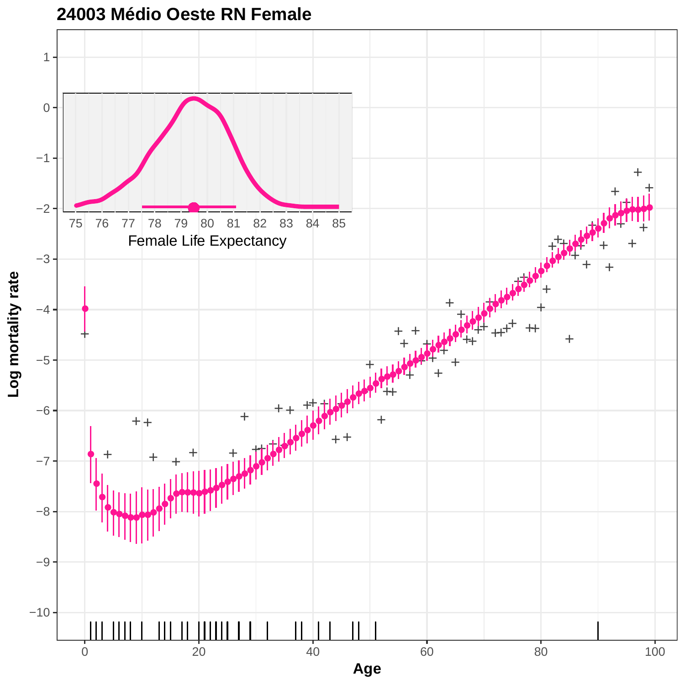

**24003 Médio Oeste RN Female**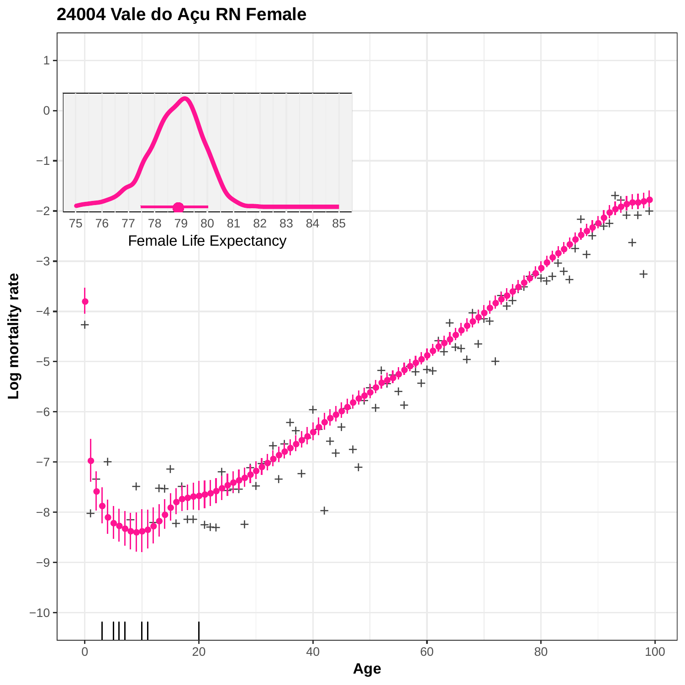

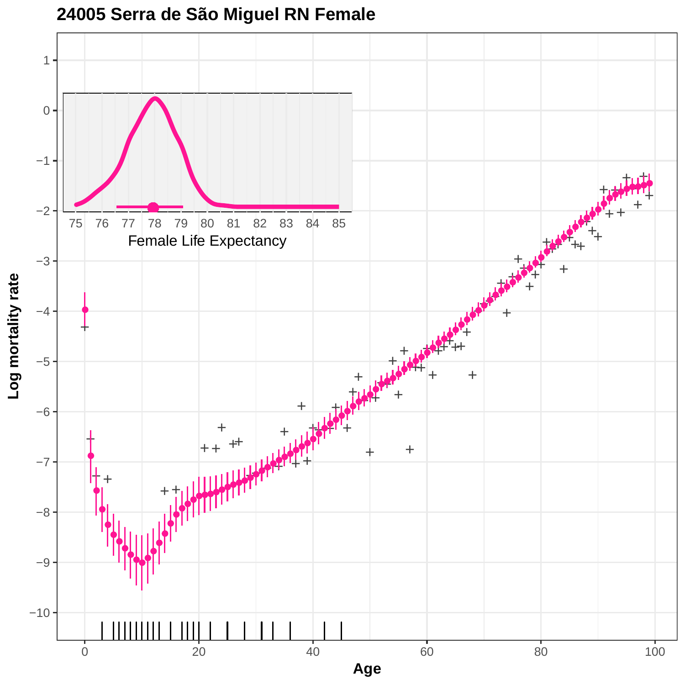

**<sup>24005</sup> Serra de São Miguel RN Female**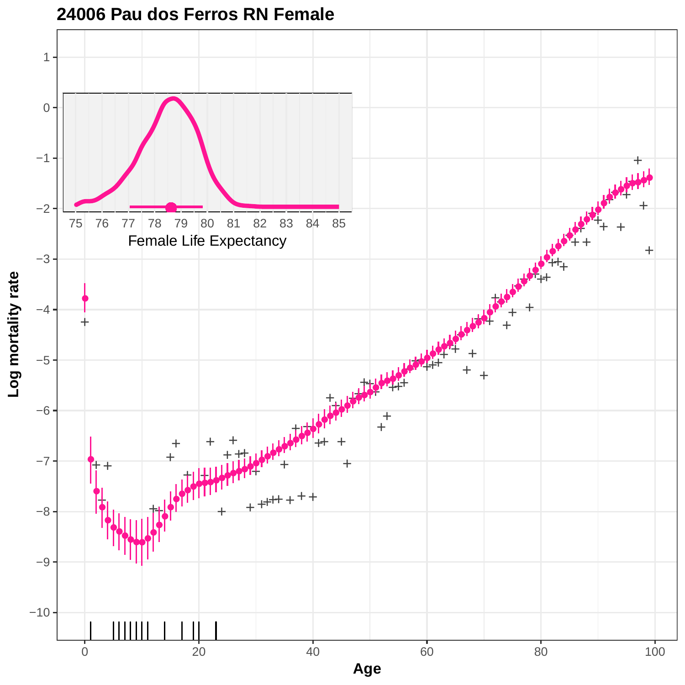

## **24006 Pau dos Ferros RN Female**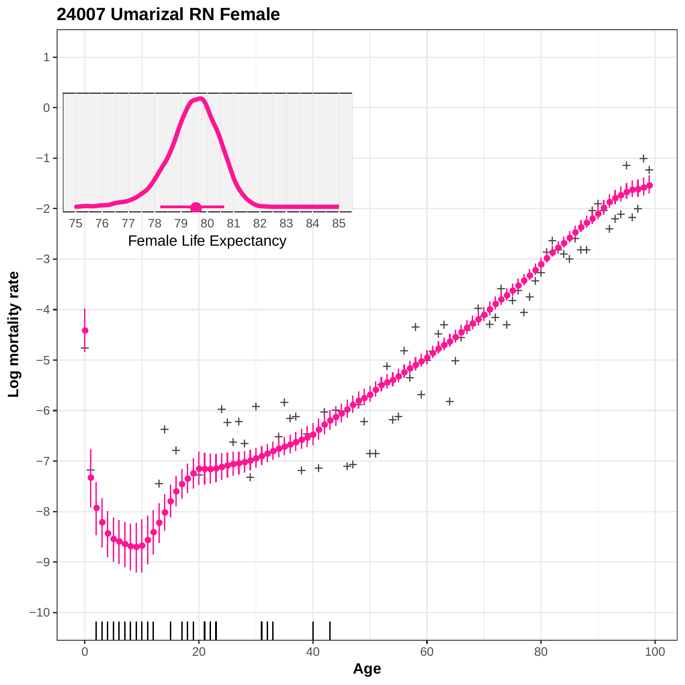

**24007 Umarizal RN Female**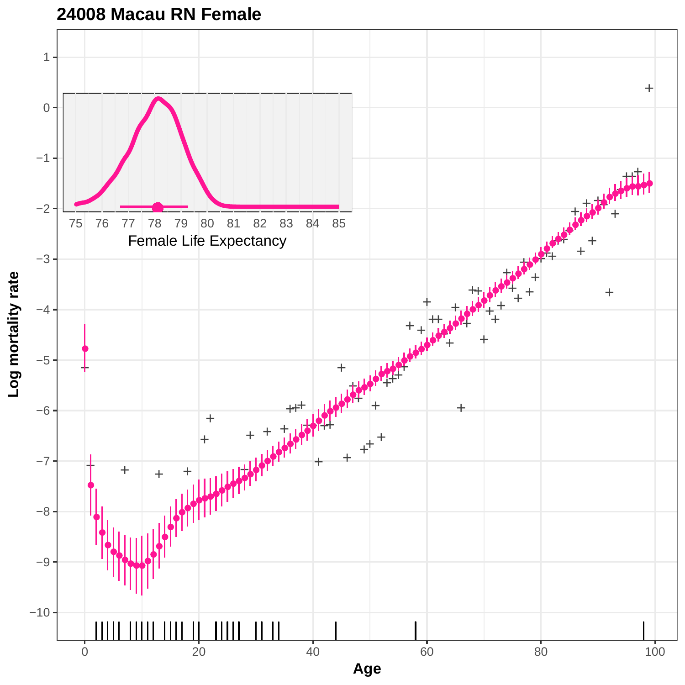

**24008 Macau RN Female**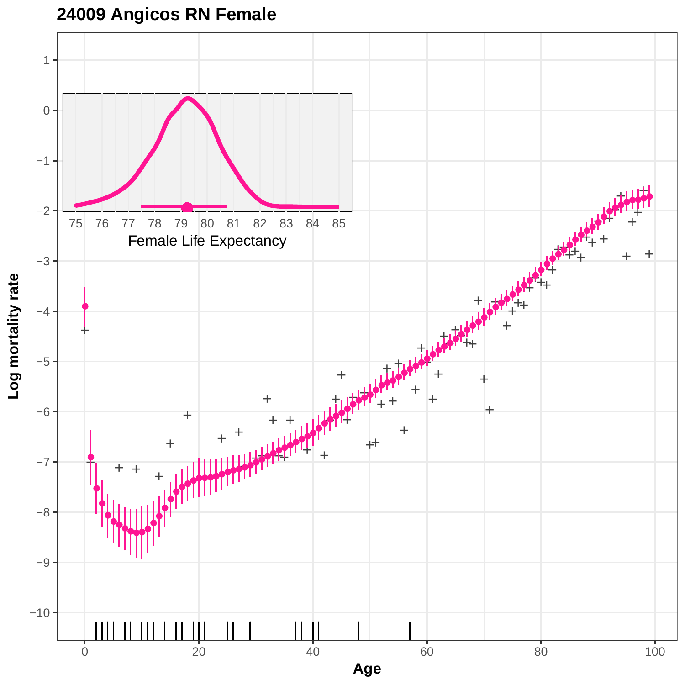# **24009 Angicos RN Female**

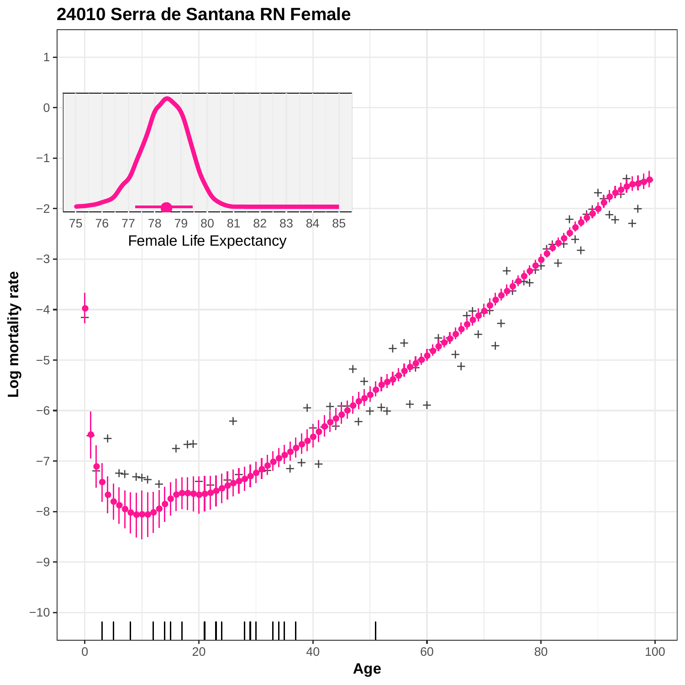

#### **24010 Serra de Santana RN Female**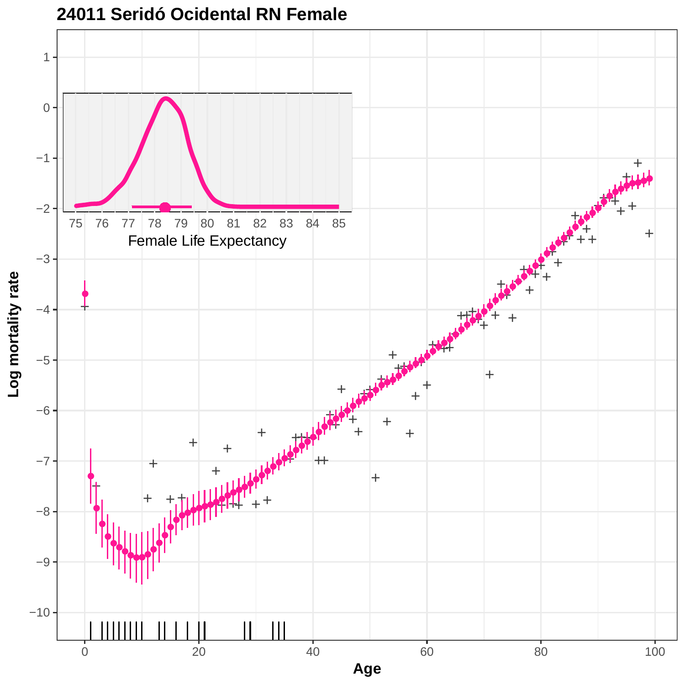

**24011 Seridó Ocidental RN Female**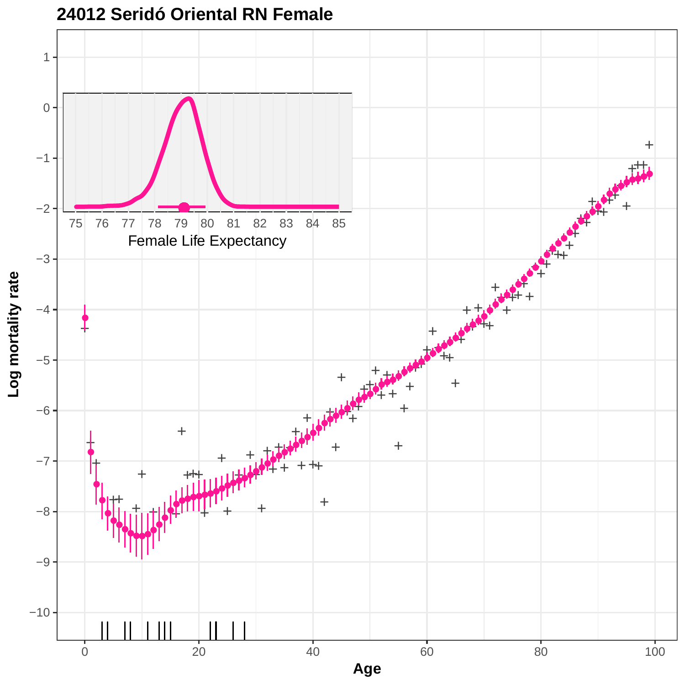

**24012 Seridó Oriental RN Female**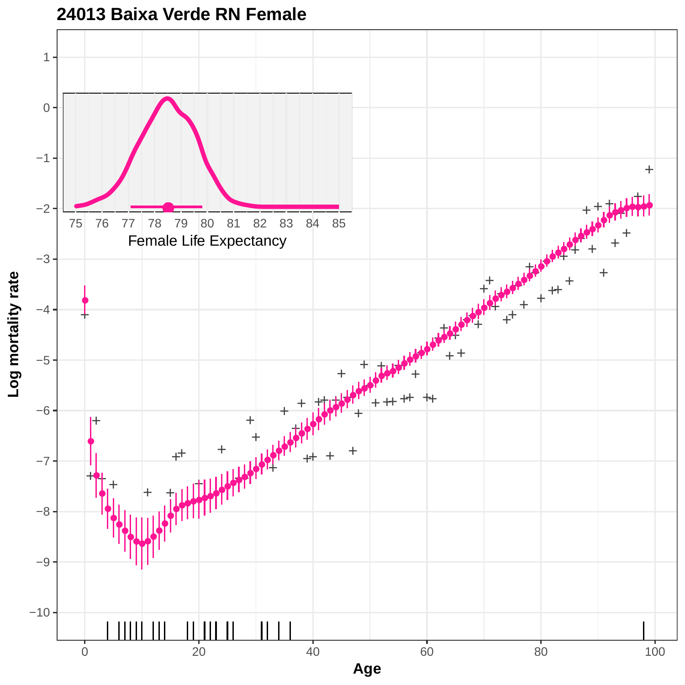

**24013 Baixa Verde RN Female**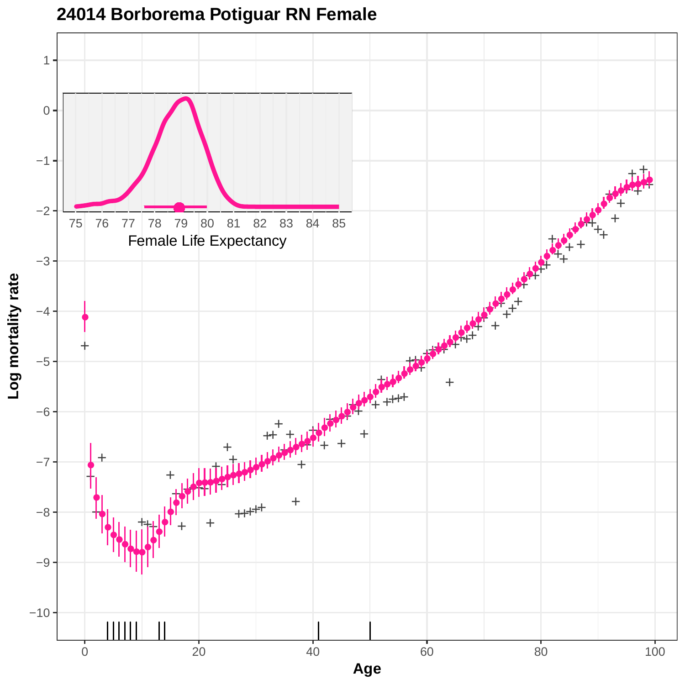

## **24014 Borborema Potiguar RN Female**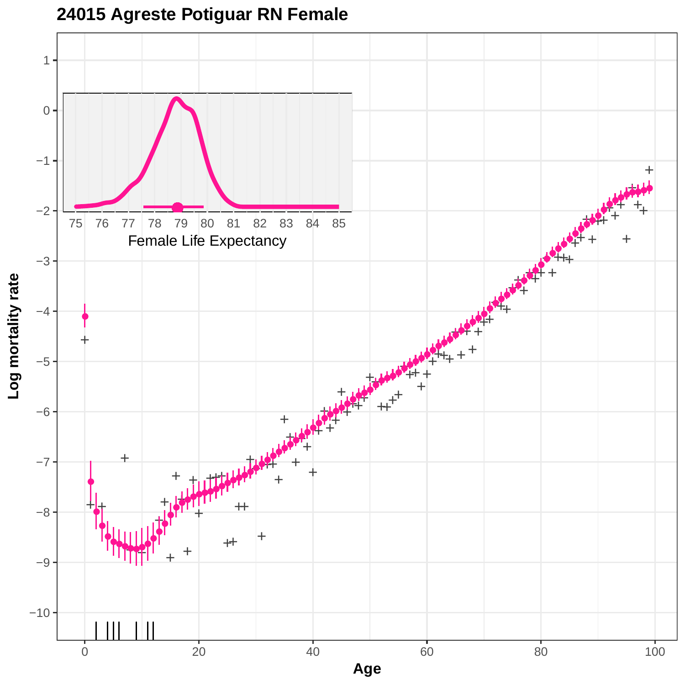

**24015 Agreste Potiguar RN Female**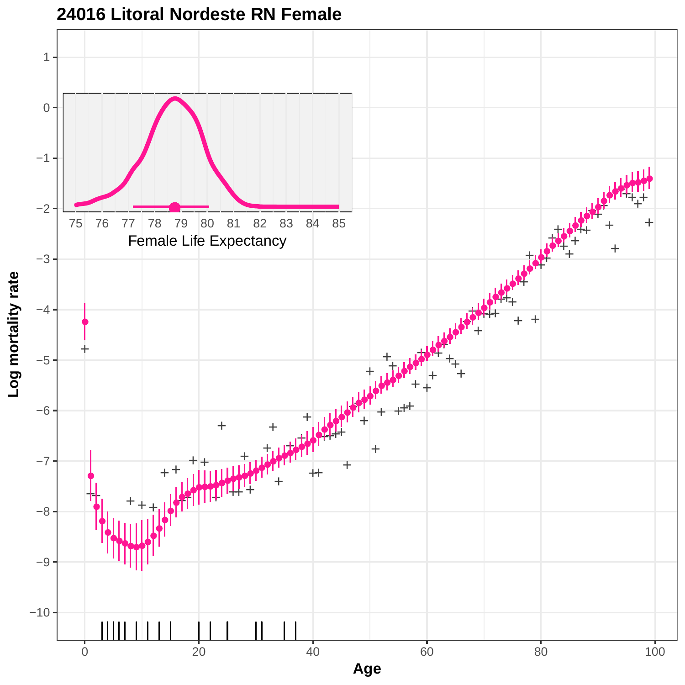

**<sup>24016</sup> Litoral Nordeste RN Female**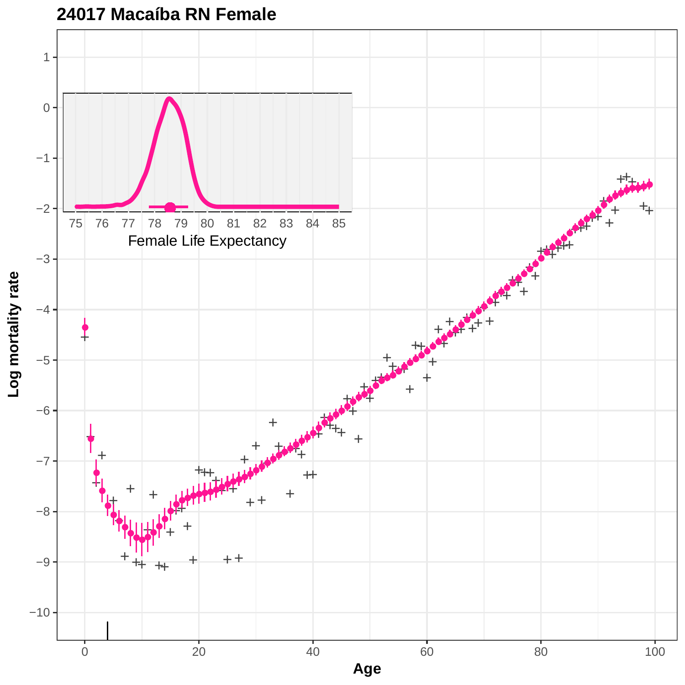

**24017 Macaíba RN Female**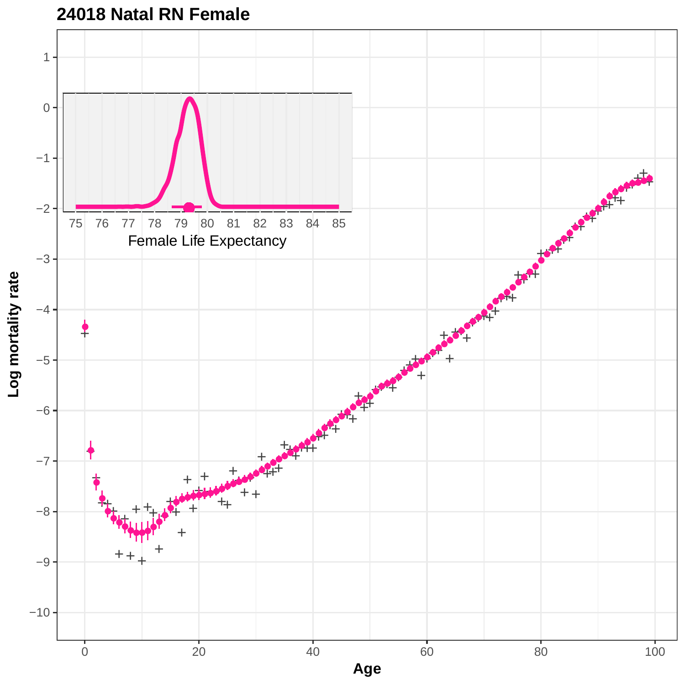